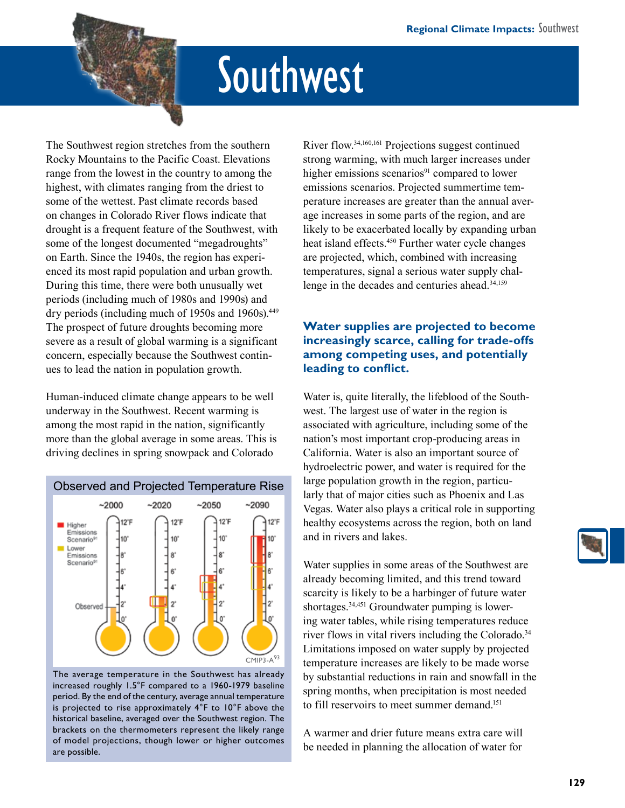

# Southwest

The Southwest region stretches from the southern Rocky Mountains to the Pacific Coast. Elevations range from the lowest in the country to among the highest, with climates ranging from the driest to some of the wettest. Past climate records based on changes in Colorado River flows indicate that drought is a frequent feature of the Southwest, with some of the longest documented "megadroughts" on Earth. Since the 1940s, the region has experienced its most rapid population and urban growth. During this time, there were both unusually wet periods (including much of 1980s and 1990s) and dry periods (including much of 1950s and 1960s).<sup>449</sup> The prospect of future droughts becoming more severe as a result of global warming is a significant concern, especially because the Southwest continues to lead the nation in population growth.

Human-induced climate change appears to be well underway in the Southwest. Recent warming is among the most rapid in the nation, significantly more than the global average in some areas. This is driving declines in spring snowpack and Colorado



The average temperature in the Southwest has already increased roughly 1.5°F compared to a 1960-1979 baseline period. By the end of the century, average annual temperature is projected to rise approximately 4°F to 10°F above the historical baseline, averaged over the Southwest region. The brackets on the thermometers represent the likely range of model projections, though lower or higher outcomes are possible.

River flow.34,160,161 Projections suggest continued strong warming, with much larger increases under higher emissions scenarios<sup>91</sup> compared to lower emissions scenarios. Projected summertime temperature increases are greater than the annual average increases in some parts of the region, and are likely to be exacerbated locally by expanding urban heat island effects.<sup>450</sup> Further water cycle changes are projected, which, combined with increasing temperatures, signal a serious water supply challenge in the decades and centuries ahead.<sup>34,159</sup>

# **Water supplies are projected to become increasingly scarce, calling for trade-offs among competing uses, and potentially leading to conflict.**

Water is, quite literally, the lifeblood of the Southwest. The largest use of water in the region is associated with agriculture, including some of the nation's most important crop-producing areas in California. Water is also an important source of hydroelectric power, and water is required for the large population growth in the region, particularly that of major cities such as Phoenix and Las Vegas. Water also plays a critical role in supporting healthy ecosystems across the region, both on land and in rivers and lakes.

Water supplies in some areas of the Southwest are already becoming limited, and this trend toward scarcity is likely to be a harbinger of future water shortages.34,451 Groundwater pumping is lowering water tables, while rising temperatures reduce river flows in vital rivers including the Colorado.<sup>34</sup> Limitations imposed on water supply by projected temperature increases are likely to be made worse by substantial reductions in rain and snowfall in the spring months, when precipitation is most needed to fill reservoirs to meet summer demand.151

A warmer and drier future means extra care will be needed in planning the allocation of water for

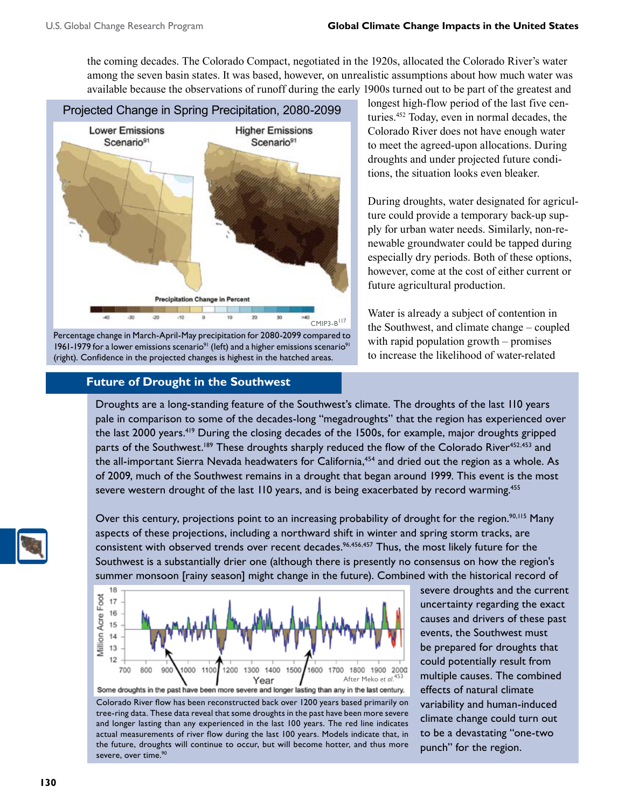the coming decades. The Colorado Compact, negotiated in the 1920s, allocated the Colorado River's water among the seven basin states. It was based, however, on unrealistic assumptions about how much water was available because the observations of runoff during the early 1900s turned out to be part of the greatest and



Percentage change in March-April-May precipitation for 2080-2099 compared to 1961-1979 for a lower emissions scenario<sup>91</sup> (left) and a higher emissions scenario<sup>91</sup> (right). Confidence in the projected changes is highest in the hatched areas.

#### **Future of Drought in the Southwest**

longest high-flow period of the last five centuries.452 Today, even in normal decades, the Colorado River does not have enough water to meet the agreed-upon allocations. During droughts and under projected future conditions, the situation looks even bleaker.

During droughts, water designated for agriculture could provide a temporary back-up supply for urban water needs. Similarly, non-renewable groundwater could be tapped during especially dry periods. Both of these options, however, come at the cost of either current or future agricultural production.

Water is already a subject of contention in the Southwest, and climate change – coupled with rapid population growth – promises to increase the likelihood of water-related

Droughts are a long-standing feature of the Southwest's climate. The droughts of the last 110 years pale in comparison to some of the decades-long "megadroughts" that the region has experienced over the last 2000 years.<sup>419</sup> During the closing decades of the 1500s, for example, major droughts gripped parts of the Southwest.<sup>189</sup> These droughts sharply reduced the flow of the Colorado River<sup>452,453</sup> and the all-important Sierra Nevada headwaters for California,<sup>454</sup> and dried out the region as a whole. As of 2009, much of the Southwest remains in a drought that began around 1999. This event is the most severe western drought of the last 110 years, and is being exacerbated by record warming.<sup>455</sup>

Over this century, projections point to an increasing probability of drought for the region.<sup>90,115</sup> Many aspects of these projections, including a northward shift in winter and spring storm tracks, are consistent with observed trends over recent decades.<sup>96,456,457</sup> Thus, the most likely future for the Southwest is a substantially drier one (although there is presently no consensus on how the region's summer monsoon [rainy season] might change in the future). Combined with the historical record of





severe droughts and the current uncertainty regarding the exact causes and drivers of these past events, the Southwest must be prepared for droughts that could potentially result from multiple causes. The combined effects of natural climate variability and human-induced climate change could turn out to be a devastating "one-two punch" for the region.

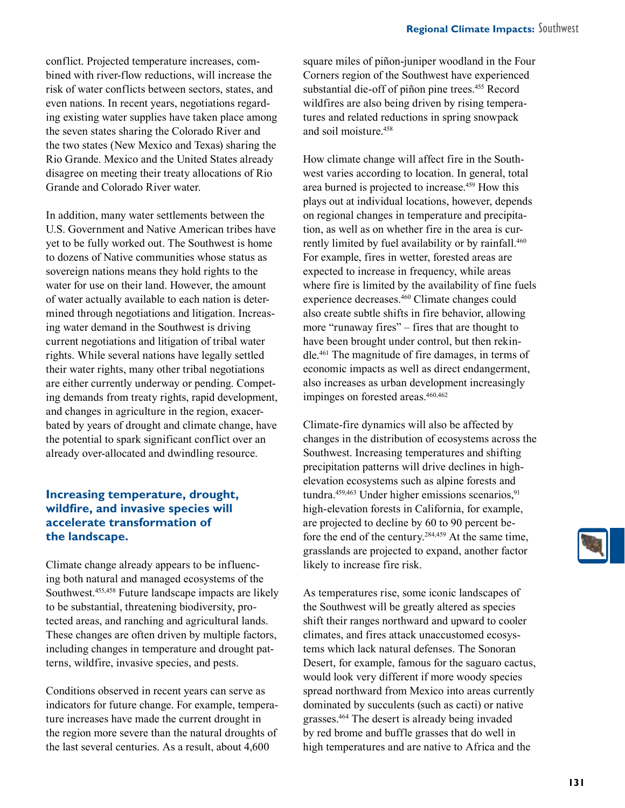conflict. Projected temperature increases, combined with river-flow reductions, will increase the risk of water conflicts between sectors, states, and even nations. In recent years, negotiations regarding existing water supplies have taken place among the seven states sharing the Colorado River and the two states (New Mexico and Texas) sharing the Rio Grande. Mexico and the United States already disagree on meeting their treaty allocations of Rio Grande and Colorado River water.

In addition, many water settlements between the U.S. Government and Native American tribes have yet to be fully worked out. The Southwest is home to dozens of Native communities whose status as sovereign nations means they hold rights to the water for use on their land. However, the amount of water actually available to each nation is determined through negotiations and litigation. Increasing water demand in the Southwest is driving current negotiations and litigation of tribal water rights. While several nations have legally settled their water rights, many other tribal negotiations are either currently underway or pending. Competing demands from treaty rights, rapid development, and changes in agriculture in the region, exacerbated by years of drought and climate change, have the potential to spark significant conflict over an already over-allocated and dwindling resource.

## **Increasing temperature, drought, wildfire, and invasive species will accelerate transformation of the landscape.**

Climate change already appears to be influencing both natural and managed ecosystems of the Southwest.455,458 Future landscape impacts are likely to be substantial, threatening biodiversity, protected areas, and ranching and agricultural lands. These changes are often driven by multiple factors, including changes in temperature and drought patterns, wildfire, invasive species, and pests.

Conditions observed in recent years can serve as indicators for future change. For example, temperature increases have made the current drought in the region more severe than the natural droughts of the last several centuries. As a result, about 4,600

square miles of piñon-juniper woodland in the Four Corners region of the Southwest have experienced substantial die-off of piñon pine trees.<sup>455</sup> Record wildfires are also being driven by rising temperatures and related reductions in spring snowpack and soil moisture.458

How climate change will affect fire in the Southwest varies according to location. In general, total area burned is projected to increase.459 How this plays out at individual locations, however, depends on regional changes in temperature and precipitation, as well as on whether fire in the area is currently limited by fuel availability or by rainfall.<sup>460</sup> For example, fires in wetter, forested areas are expected to increase in frequency, while areas where fire is limited by the availability of fine fuels experience decreases.460 Climate changes could also create subtle shifts in fire behavior, allowing more "runaway fires" – fires that are thought to have been brought under control, but then rekindle.461 The magnitude of fire damages, in terms of economic impacts as well as direct endangerment, also increases as urban development increasingly impinges on forested areas.<sup>460,462</sup>

Climate-fire dynamics will also be affected by changes in the distribution of ecosystems across the Southwest. Increasing temperatures and shifting precipitation patterns will drive declines in highelevation ecosystems such as alpine forests and tundra. $459,463$  Under higher emissions scenarios. $91$ high-elevation forests in California, for example, are projected to decline by 60 to 90 percent before the end of the century.284,459 At the same time, grasslands are projected to expand, another factor likely to increase fire risk.

As temperatures rise, some iconic landscapes of the Southwest will be greatly altered as species shift their ranges northward and upward to cooler climates, and fires attack unaccustomed ecosystems which lack natural defenses. The Sonoran Desert, for example, famous for the saguaro cactus, would look very different if more woody species spread northward from Mexico into areas currently dominated by succulents (such as cacti) or native grasses.464 The desert is already being invaded by red brome and buffle grasses that do well in high temperatures and are native to Africa and the

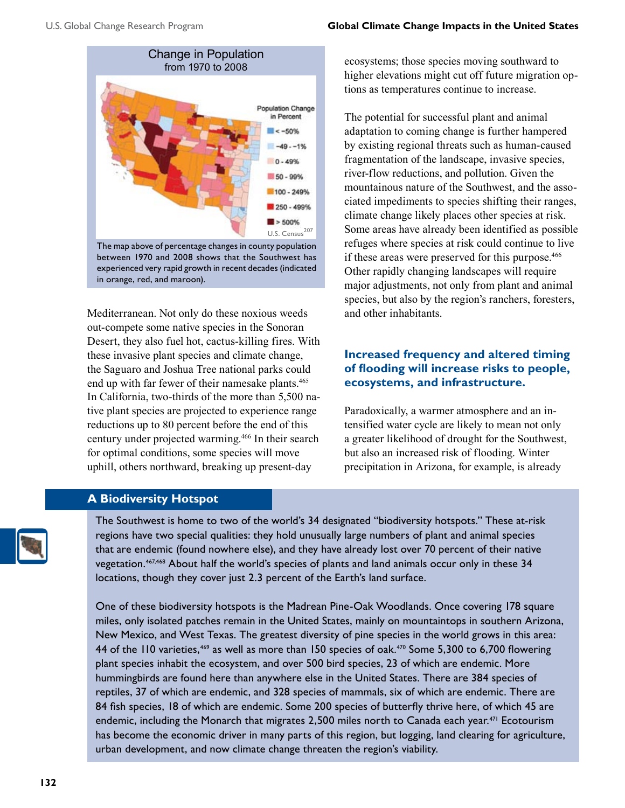#### **Global Climate Change Impacts in the United States**



in orange, red, and maroon).

Mediterranean. Not only do these noxious weeds out-compete some native species in the Sonoran Desert, they also fuel hot, cactus-killing fires. With these invasive plant species and climate change, the Saguaro and Joshua Tree national parks could end up with far fewer of their namesake plants.<sup>465</sup> In California, two-thirds of the more than 5,500 native plant species are projected to experience range reductions up to 80 percent before the end of this century under projected warming.466 In their search for optimal conditions, some species will move uphill, others northward, breaking up present-day

ecosystems; those species moving southward to higher elevations might cut off future migration options as temperatures continue to increase.

The potential for successful plant and animal adaptation to coming change is further hampered by existing regional threats such as human-caused fragmentation of the landscape, invasive species, river-flow reductions, and pollution. Given the mountainous nature of the Southwest, and the associated impediments to species shifting their ranges, climate change likely places other species at risk. Some areas have already been identified as possible refuges where species at risk could continue to live if these areas were preserved for this purpose.<sup>466</sup> Other rapidly changing landscapes will require major adjustments, not only from plant and animal species, but also by the region's ranchers, foresters, and other inhabitants.

### **Increased frequency and altered timing of flooding will increase risks to people, ecosystems, and infrastructure.**

Paradoxically, a warmer atmosphere and an intensified water cycle are likely to mean not only a greater likelihood of drought for the Southwest, but also an increased risk of flooding. Winter precipitation in Arizona, for example, is already

#### **A Biodiversity Hotspot**

The Southwest is home to two of the world's 34 designated "biodiversity hotspots." These at-risk regions have two special qualities: they hold unusually large numbers of plant and animal species that are endemic (found nowhere else), and they have already lost over 70 percent of their native vegetation.467,468 About half the world's species of plants and land animals occur only in these 34 locations, though they cover just 2.3 percent of the Earth's land surface.

One of these biodiversity hotspots is the Madrean Pine-Oak Woodlands. Once covering 178 square miles, only isolated patches remain in the United States, mainly on mountaintops in southern Arizona, New Mexico, and West Texas. The greatest diversity of pine species in the world grows in this area: 44 of the 110 varieties,<sup>469</sup> as well as more than 150 species of oak.<sup>470</sup> Some 5,300 to 6,700 flowering plant species inhabit the ecosystem, and over 500 bird species, 23 of which are endemic. More hummingbirds are found here than anywhere else in the United States. There are 384 species of reptiles, 37 of which are endemic, and 328 species of mammals, six of which are endemic. There are 84 fish species, 18 of which are endemic. Some 200 species of butterfly thrive here, of which 45 are endemic, including the Monarch that migrates 2,500 miles north to Canada each year.<sup>471</sup> Ecotourism has become the economic driver in many parts of this region, but logging, land clearing for agriculture, urban development, and now climate change threaten the region's viability.

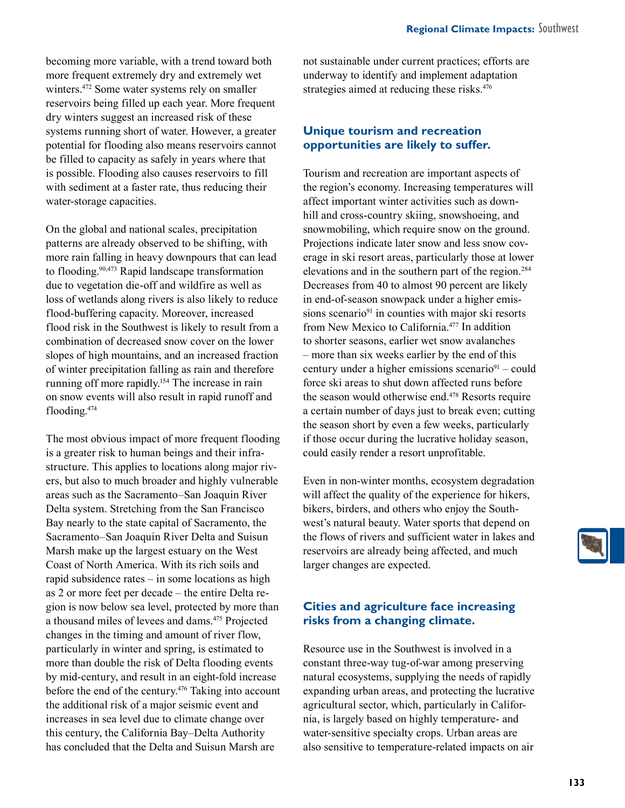becoming more variable, with a trend toward both more frequent extremely dry and extremely wet winters.472 Some water systems rely on smaller reservoirs being filled up each year. More frequent dry winters suggest an increased risk of these systems running short of water. However, a greater potential for flooding also means reservoirs cannot be filled to capacity as safely in years where that is possible. Flooding also causes reservoirs to fill with sediment at a faster rate, thus reducing their water-storage capacities.

On the global and national scales, precipitation patterns are already observed to be shifting, with more rain falling in heavy downpours that can lead to flooding.90,473 Rapid landscape transformation due to vegetation die-off and wildfire as well as loss of wetlands along rivers is also likely to reduce flood-buffering capacity. Moreover, increased flood risk in the Southwest is likely to result from a combination of decreased snow cover on the lower slopes of high mountains, and an increased fraction of winter precipitation falling as rain and therefore running off more rapidly.<sup>154</sup> The increase in rain on snow events will also result in rapid runoff and flooding.474

The most obvious impact of more frequent flooding is a greater risk to human beings and their infrastructure. This applies to locations along major rivers, but also to much broader and highly vulnerable areas such as the Sacramento–San Joaquin River Delta system. Stretching from the San Francisco Bay nearly to the state capital of Sacramento, the Sacramento–San Joaquin River Delta and Suisun Marsh make up the largest estuary on the West Coast of North America. With its rich soils and rapid subsidence rates – in some locations as high as 2 or more feet per decade – the entire Delta region is now below sea level, protected by more than a thousand miles of levees and dams.475 Projected changes in the timing and amount of river flow, particularly in winter and spring, is estimated to more than double the risk of Delta flooding events by mid-century, and result in an eight-fold increase before the end of the century.476 Taking into account the additional risk of a major seismic event and increases in sea level due to climate change over this century, the California Bay–Delta Authority has concluded that the Delta and Suisun Marsh are

not sustainable under current practices; efforts are underway to identify and implement adaptation strategies aimed at reducing these risks.<sup>476</sup>

#### **Unique tourism and recreation opportunities are likely to suffer.**

Tourism and recreation are important aspects of the region's economy. Increasing temperatures will affect important winter activities such as downhill and cross-country skiing, snowshoeing, and snowmobiling, which require snow on the ground. Projections indicate later snow and less snow coverage in ski resort areas, particularly those at lower elevations and in the southern part of the region.<sup>284</sup> Decreases from 40 to almost 90 percent are likely in end-of-season snowpack under a higher emissions scenario<sup>91</sup> in counties with major ski resorts from New Mexico to California.477 In addition to shorter seasons, earlier wet snow avalanches – more than six weeks earlier by the end of this century under a higher emissions scenario $91 - \text{could}$ force ski areas to shut down affected runs before the season would otherwise end.<sup>478</sup> Resorts require a certain number of days just to break even; cutting the season short by even a few weeks, particularly if those occur during the lucrative holiday season, could easily render a resort unprofitable.

Even in non-winter months, ecosystem degradation will affect the quality of the experience for hikers, bikers, birders, and others who enjoy the Southwest's natural beauty. Water sports that depend on the flows of rivers and sufficient water in lakes and reservoirs are already being affected, and much larger changes are expected.

# **Cities and agriculture face increasing risks from a changing climate.**

Resource use in the Southwest is involved in a constant three-way tug-of-war among preserving natural ecosystems, supplying the needs of rapidly expanding urban areas, and protecting the lucrative agricultural sector, which, particularly in California, is largely based on highly temperature- and water-sensitive specialty crops. Urban areas are also sensitive to temperature-related impacts on air